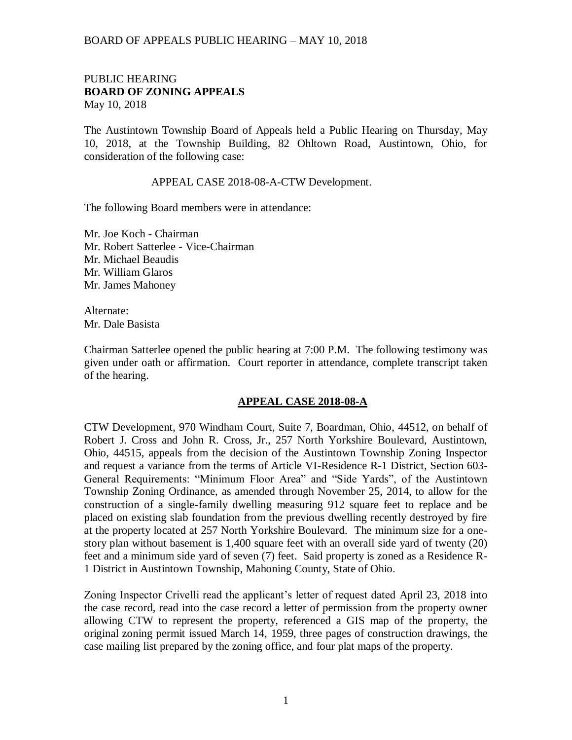## BOARD OF APPEALS PUBLIC HEARING – MAY 10, 2018

## PUBLIC HEARING **BOARD OF ZONING APPEALS**  May 10, 2018

The Austintown Township Board of Appeals held a Public Hearing on Thursday, May 10, 2018, at the Township Building, 82 Ohltown Road, Austintown, Ohio, for consideration of the following case:

### APPEAL CASE 2018-08-A-CTW Development.

The following Board members were in attendance:

Mr. Joe Koch - Chairman Mr. Robert Satterlee - Vice-Chairman Mr. Michael Beaudis Mr. William Glaros Mr. James Mahoney

Alternate: Mr. Dale Basista

Chairman Satterlee opened the public hearing at 7:00 P.M. The following testimony was given under oath or affirmation. Court reporter in attendance, complete transcript taken of the hearing.

#### **APPEAL CASE 2018-08-A**

CTW Development, 970 Windham Court, Suite 7, Boardman, Ohio, 44512, on behalf of Robert J. Cross and John R. Cross, Jr., 257 North Yorkshire Boulevard, Austintown, Ohio, 44515, appeals from the decision of the Austintown Township Zoning Inspector and request a variance from the terms of Article VI-Residence R-1 District, Section 603- General Requirements: "Minimum Floor Area" and "Side Yards", of the Austintown Township Zoning Ordinance, as amended through November 25, 2014, to allow for the construction of a single-family dwelling measuring 912 square feet to replace and be placed on existing slab foundation from the previous dwelling recently destroyed by fire at the property located at 257 North Yorkshire Boulevard. The minimum size for a onestory plan without basement is 1,400 square feet with an overall side yard of twenty (20) feet and a minimum side yard of seven (7) feet. Said property is zoned as a Residence R-1 District in Austintown Township, Mahoning County, State of Ohio.

Zoning Inspector Crivelli read the applicant's letter of request dated April 23, 2018 into the case record, read into the case record a letter of permission from the property owner allowing CTW to represent the property, referenced a GIS map of the property, the original zoning permit issued March 14, 1959, three pages of construction drawings, the case mailing list prepared by the zoning office, and four plat maps of the property.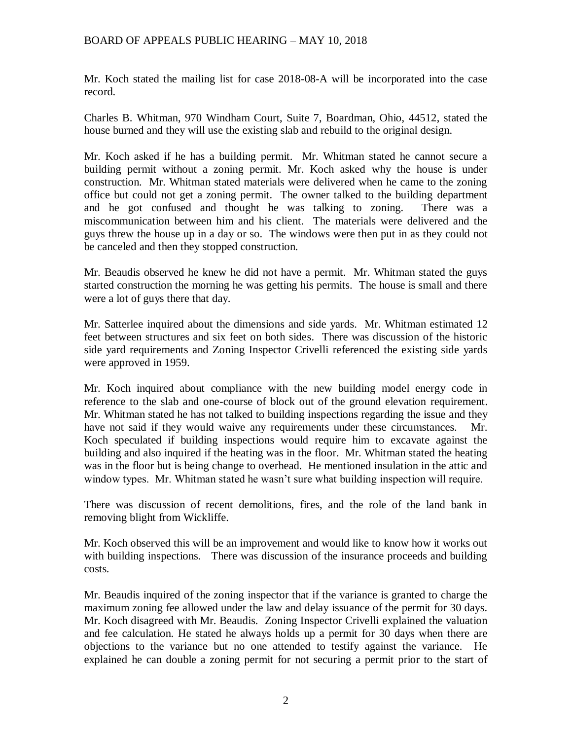# BOARD OF APPEALS PUBLIC HEARING – MAY 10, 2018

Mr. Koch stated the mailing list for case 2018-08-A will be incorporated into the case record.

Charles B. Whitman, 970 Windham Court, Suite 7, Boardman, Ohio, 44512, stated the house burned and they will use the existing slab and rebuild to the original design.

Mr. Koch asked if he has a building permit. Mr. Whitman stated he cannot secure a building permit without a zoning permit. Mr. Koch asked why the house is under construction. Mr. Whitman stated materials were delivered when he came to the zoning office but could not get a zoning permit. The owner talked to the building department and he got confused and thought he was talking to zoning. There was a miscommunication between him and his client. The materials were delivered and the guys threw the house up in a day or so. The windows were then put in as they could not be canceled and then they stopped construction.

Mr. Beaudis observed he knew he did not have a permit. Mr. Whitman stated the guys started construction the morning he was getting his permits. The house is small and there were a lot of guys there that day.

Mr. Satterlee inquired about the dimensions and side yards. Mr. Whitman estimated 12 feet between structures and six feet on both sides. There was discussion of the historic side yard requirements and Zoning Inspector Crivelli referenced the existing side yards were approved in 1959.

Mr. Koch inquired about compliance with the new building model energy code in reference to the slab and one-course of block out of the ground elevation requirement. Mr. Whitman stated he has not talked to building inspections regarding the issue and they have not said if they would waive any requirements under these circumstances. Mr. Koch speculated if building inspections would require him to excavate against the building and also inquired if the heating was in the floor. Mr. Whitman stated the heating was in the floor but is being change to overhead. He mentioned insulation in the attic and window types. Mr. Whitman stated he wasn't sure what building inspection will require.

There was discussion of recent demolitions, fires, and the role of the land bank in removing blight from Wickliffe.

Mr. Koch observed this will be an improvement and would like to know how it works out with building inspections. There was discussion of the insurance proceeds and building costs.

Mr. Beaudis inquired of the zoning inspector that if the variance is granted to charge the maximum zoning fee allowed under the law and delay issuance of the permit for 30 days. Mr. Koch disagreed with Mr. Beaudis. Zoning Inspector Crivelli explained the valuation and fee calculation. He stated he always holds up a permit for 30 days when there are objections to the variance but no one attended to testify against the variance. He explained he can double a zoning permit for not securing a permit prior to the start of